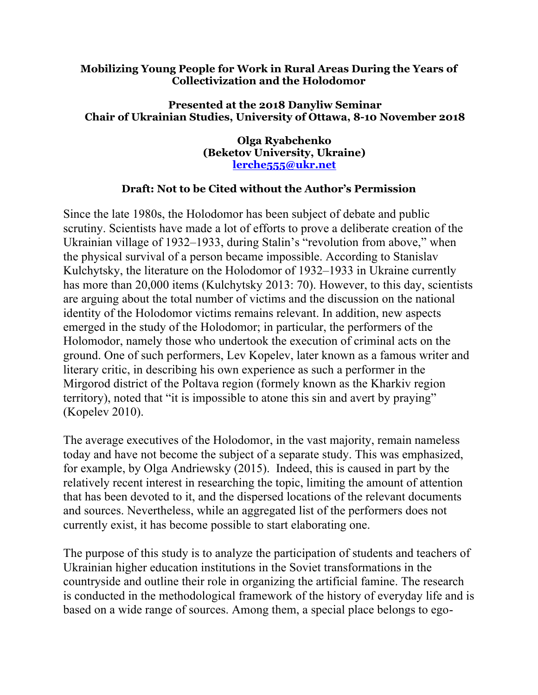#### **Mobilizing Young People for Work in Rural Areas During the Years of Collectivization and the Holodomor**

#### **Presented at the 2018 Danyliw Seminar Chair of Ukrainian Studies, University of Ottawa, 8-10 November 2018**

**Olga Ryabchenko (Beketov University, Ukraine) lerche555@ukr.net**

### **Draft: Not to be Cited without the Author's Permission**

Since the late 1980s, the Holodomor has been subject of debate and public scrutiny. Scientists have made a lot of efforts to prove a deliberate creation of the Ukrainian village of 1932–1933, during Stalin's "revolution from above," when the physical survival of a person became impossible. According to Stanislav Kulchytsky, the literature on the Holodomor of 1932–1933 in Ukraine currently has more than 20,000 items (Kulchytsky 2013: 70). However, to this day, scientists are arguing about the total number of victims and the discussion on the national identity of the Holodomor victims remains relevant. In addition, new aspects emerged in the study of the Holodomor; in particular, the performers of the Holomodor, namely those who undertook the execution of criminal acts on the ground. One of such performers, Lev Kopelev, later known as a famous writer and literary critic, in describing his own experience as such a performer in the Mirgorod district of the Poltava region (formely known as the Kharkiv region territory), noted that "it is impossible to atone this sin and avert by praying" (Kopelev 2010).

The average executives of the Holodomor, in the vast majority, remain nameless today and have not become the subject of a separate study. This was emphasized, for example, by Olga Andriewsky (2015). Indeed, this is caused in part by the relatively recent interest in researching the topic, limiting the amount of attention that has been devoted to it, and the dispersed locations of the relevant documents and sources. Nevertheless, while an aggregated list of the performers does not currently exist, it has become possible to start elaborating one.

The purpose of this study is to analyze the participation of students and teachers of Ukrainian higher education institutions in the Soviet transformations in the countryside and outline their role in organizing the artificial famine. The research is conducted in the methodological framework of the history of everyday life and is based on a wide range of sources. Among them, a special place belongs to ego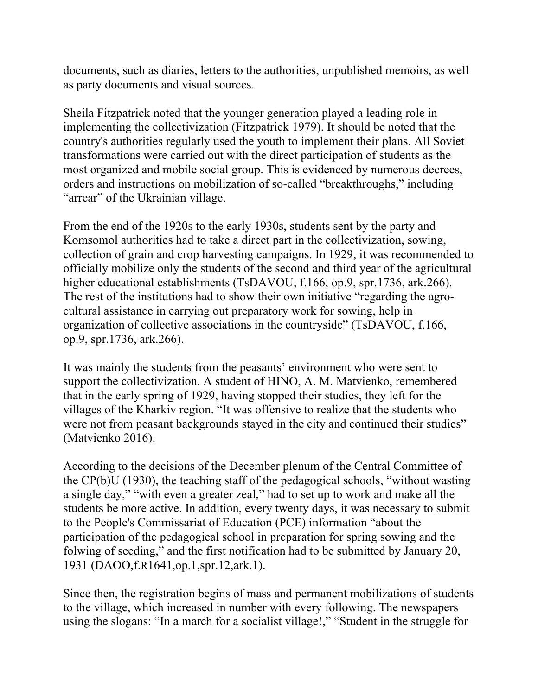documents, such as diaries, letters to the authorities, unpublished memoirs, as well as party documents and visual sources.

Sheila Fitzpatrick noted that the younger generation played a leading role in implementing the collectivization (Fitzpatrick 1979). It should be noted that the country's authorities regularly used the youth to implement their plans. All Soviet transformations were carried out with the direct participation of students as the most organized and mobile social group. This is evidenced by numerous decrees, orders and instructions on mobilization of so-called "breakthroughs," including "arrear" of the Ukrainian village.

From the end of the 1920s to the early 1930s, students sent by the party and Komsomol authorities had to take a direct part in the collectivization, sowing, collection of grain and crop harvesting campaigns. In 1929, it was recommended to officially mobilize only the students of the second and third year of the agricultural higher educational establishments (TsDAVOU, f.166, op.9, spr.1736, ark.266). The rest of the institutions had to show their own initiative "regarding the agrocultural assistance in carrying out preparatory work for sowing, help in organization of collective associations in the countryside" (TsDAVOU, f.166, op.9, spr.1736, ark.266).

It was mainly the students from the peasants' environment who were sent to support the collectivization. A student of HINO, A. M. Matvienko, remembered that in the early spring of 1929, having stopped their studies, they left for the villages of the Kharkiv region. "It was offensive to realize that the students who were not from peasant backgrounds stayed in the city and continued their studies" (Matvienko 2016).

According to the decisions of the December plenum of the Central Committee of the CP(b)U (1930), the teaching staff of the pedagogical schools, "without wasting a single day," "with even a greater zeal," had to set up to work and make all the students be more active. In addition, every twenty days, it was necessary to submit to the People's Commissariat of Education (PCE) information "about the participation of the pedagogical school in preparation for spring sowing and the folwing of seeding," and the first notification had to be submitted by January 20, 1931 (DAOO,f.R1641,оp.1,spr.12,ark.1).

Since then, the registration begins of mass and permanent mobilizations of students to the village, which increased in number with every following. The newspapers using the slogans: "In a march for a socialist village!," "Student in the struggle for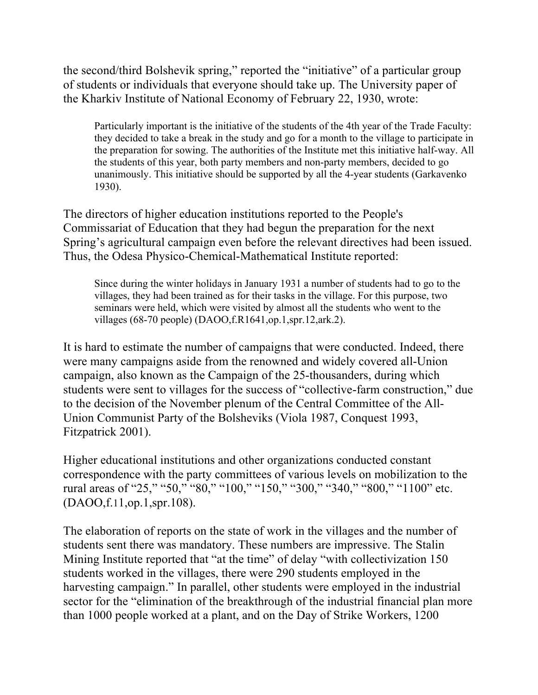the second/third Bolshevik spring," reported the "initiative" of a particular group of students or individuals that everyone should take up. The University paper of the Kharkiv Institute of National Economy of February 22, 1930, wrote:

Particularly important is the initiative of the students of the 4th year of the Trade Faculty: they decided to take a break in the study and go for a month to the village to participate in the preparation for sowing. The authorities of the Institute met this initiative half-way. All the students of this year, both party members and non-party members, decided to go unanimously. This initiative should be supported by all the 4-year students (Garkavenko 1930).

The directors of higher education institutions reported to the People's Commissariat of Education that they had begun the preparation for the next Spring's agricultural campaign even before the relevant directives had been issued. Thus, the Odesa Physico-Chemical-Mathematical Institute reported:

Since during the winter holidays in January 1931 a number of students had to go to the villages, they had been trained as for their tasks in the village. For this purpose, two seminars were held, which were visited by almost all the students who went to the villages (68-70 people) (DAOO,f.R1641,оp.1,spr.12,ark.2).

It is hard to estimate the number of campaigns that were conducted. Indeed, there were many campaigns aside from the renowned and widely covered all-Union campaign, also known as the Campaign of the 25-thousanders, during which students were sent to villages for the success of "collective-farm construction," due to the decision of the November plenum of the Central Committee of the All-Union Communist Party of the Bolsheviks (Viola 1987, Conquest 1993, Fitzpatrick 2001).

Higher educational institutions and other organizations conducted constant correspondence with the party committees of various levels on mobilization to the rural areas of "25," "50," "80," "100," "150," "300," "340," "800," "1100" etc. (DAOO,f.11,оp.1,spr.108).

The elaboration of reports on the state of work in the villages and the number of students sent there was mandatory. These numbers are impressive. The Stalin Mining Institute reported that "at the time" of delay "with collectivization 150 students worked in the villages, there were 290 students employed in the harvesting campaign." In parallel, other students were employed in the industrial sector for the "elimination of the breakthrough of the industrial financial plan more than 1000 people worked at a plant, and on the Day of Strike Workers, 1200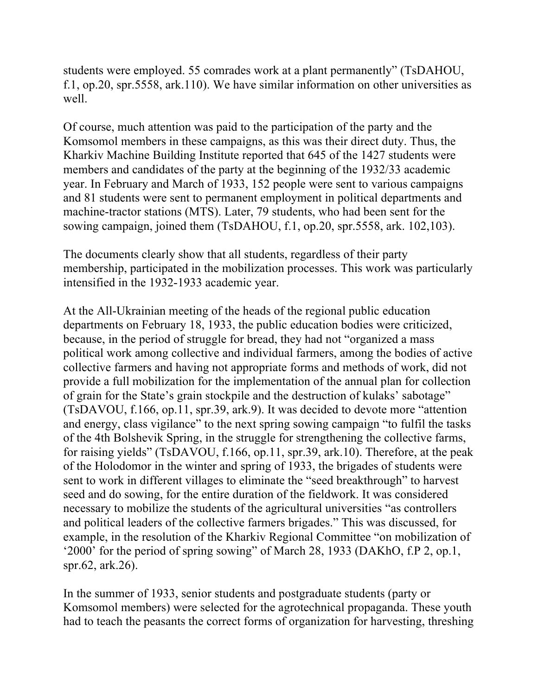students were employed. 55 comrades work at a plant permanently" (TsDAHOU, f.1, op.20, spr.5558, ark.110). We have similar information on other universities as well.

Of course, much attention was paid to the participation of the party and the Komsomol members in these campaigns, as this was their direct duty. Thus, the Kharkiv Machine Building Institute reported that 645 of the 1427 students were members and candidates of the party at the beginning of the 1932/33 academic year. In February and March of 1933, 152 people were sent to various campaigns and 81 students were sent to permanent employment in political departments and machine-tractor stations (MTS). Later, 79 students, who had been sent for the sowing campaign, joined them (TsDAHOU, f.1, op.20, spr.5558, ark. 102,103).

The documents clearly show that all students, regardless of their party membership, participated in the mobilization processes. This work was particularly intensified in the 1932-1933 academic year.

At the All-Ukrainian meeting of the heads of the regional public education departments on February 18, 1933, the public education bodies were criticized, because, in the period of struggle for bread, they had not "organized a mass political work among collective and individual farmers, among the bodies of active collective farmers and having not appropriate forms and methods of work, did not provide a full mobilization for the implementation of the annual plan for collection of grain for the State's grain stockpile and the destruction of kulaks' sabotage" (TsDAVOU, f.166, op.11, spr.39, ark.9). It was decided to devote more "attention and energy, class vigilance" to the next spring sowing campaign "to fulfil the tasks of the 4th Bolshevik Spring, in the struggle for strengthening the collective farms, for raising yields" (TsDAVOU, f.166, op.11, spr.39, ark.10). Therefore, at the peak of the Holodomor in the winter and spring of 1933, the brigades of students were sent to work in different villages to eliminate the "seed breakthrough" to harvest seed and do sowing, for the entire duration of the fieldwork. It was considered necessary to mobilize the students of the agricultural universities "as controllers and political leaders of the collective farmers brigades." This was discussed, for example, in the resolution of the Kharkiv Regional Committee "on mobilization of '2000' for the period of spring sowing" of March 28, 1933 (DAKhO, f.Р 2, op.1, spr.62, ark.26).

In the summer of 1933, senior students and postgraduate students (party or Komsomol members) were selected for the agrotechnical propaganda. These youth had to teach the peasants the correct forms of organization for harvesting, threshing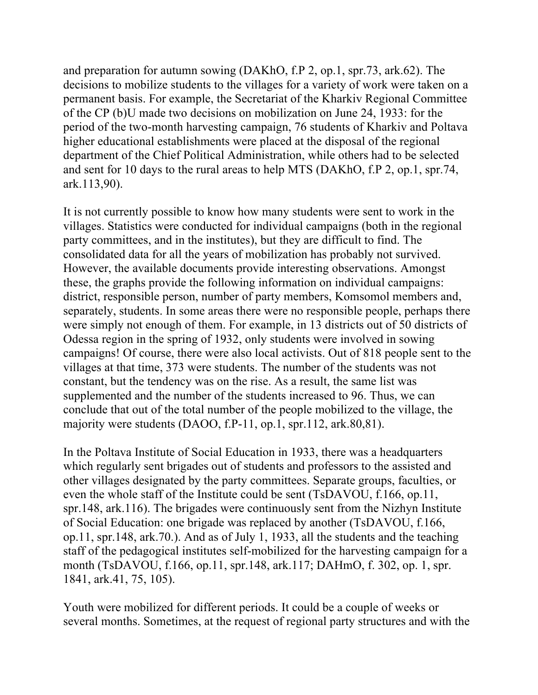and preparation for autumn sowing (DAKhO, f.Р 2, op.1, spr.73, ark.62). The decisions to mobilize students to the villages for a variety of work were taken on a permanent basis. For example, the Secretariat of the Kharkiv Regional Committee of the CP (b)U made two decisions on mobilization on June 24, 1933: for the period of the two-month harvesting campaign, 76 students of Kharkiv and Poltava higher educational establishments were placed at the disposal of the regional department of the Chief Political Administration, while others had to be selected and sent for 10 days to the rural areas to help MTS (DAKhO, f.Р 2, op.1, spr.74, ark.113,90).

It is not currently possible to know how many students were sent to work in the villages. Statistics were conducted for individual campaigns (both in the regional party committees, and in the institutes), but they are difficult to find. The consolidated data for all the years of mobilization has probably not survived. However, the available documents provide interesting observations. Amongst these, the graphs provide the following information on individual campaigns: district, responsible person, number of party members, Komsomol members and, separately, students. In some areas there were no responsible people, perhaps there were simply not enough of them. For example, in 13 districts out of 50 districts of Odessa region in the spring of 1932, only students were involved in sowing campaigns! Of course, there were also local activists. Out of 818 people sent to the villages at that time, 373 were students. The number of the students was not constant, but the tendency was on the rise. As a result, the same list was supplemented and the number of the students increased to 96. Thus, we can conclude that out of the total number of the people mobilized to the village, the majority were students (DAОO, f.Р-11, op.1, spr.112, ark.80,81).

In the Poltava Institute of Social Education in 1933, there was a headquarters which regularly sent brigades out of students and professors to the assisted and other villages designated by the party committees. Separate groups, faculties, or even the whole staff of the Institute could be sent (TsDAVOU, f.166, op.11, spr.148, ark.116). The brigades were continuously sent from the Nizhyn Institute of Social Education: one brigade was replaced by another (TsDAVOU, f.166, op.11, spr.148, ark.70.). And as of July 1, 1933, all the students and the teaching staff of the pedagogical institutes self-mobilized for the harvesting campaign for a month (TsDAVOU, f.166, op.11, spr.148, ark.117; DAHmO, f. 302, op. 1, spr. 1841, ark.41, 75, 105).

Youth were mobilized for different periods. It could be a couple of weeks or several months. Sometimes, at the request of regional party structures and with the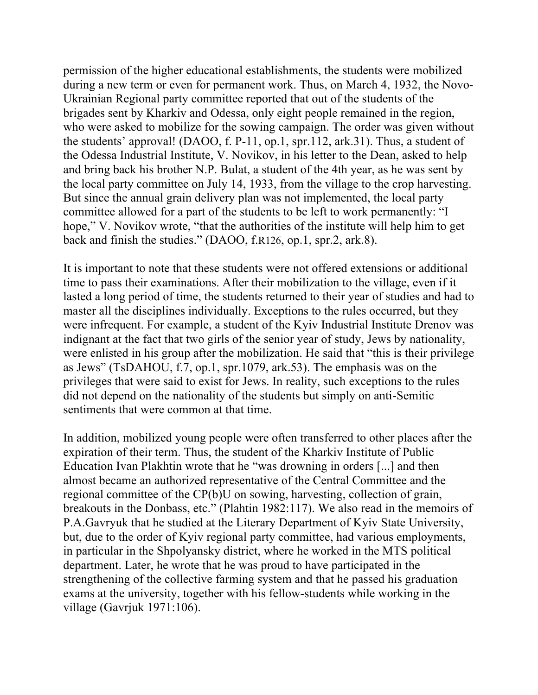permission of the higher educational establishments, the students were mobilized during a new term or even for permanent work. Thus, on March 4, 1932, the Novo-Ukrainian Regional party committee reported that out of the students of the brigades sent by Kharkiv and Odessa, only eight people remained in the region, who were asked to mobilize for the sowing campaign. The order was given without the students' approval! (DAОO, f. Р-11, op.1, spr.112, ark.31). Thus, a student of the Odessa Industrial Institute, V. Novikov, in his letter to the Dean, asked to help and bring back his brother N.P. Bulat, a student of the 4th year, as he was sent by the local party committee on July 14, 1933, from the village to the crop harvesting. But since the annual grain delivery plan was not implemented, the local party committee allowed for a part of the students to be left to work permanently: "I hope," V. Novikov wrote, "that the authorities of the institute will help him to get back and finish the studies." (DAОO, f.R126, op.1, spr.2, ark.8).

It is important to note that these students were not offered extensions or additional time to pass their examinations. After their mobilization to the village, even if it lasted a long period of time, the students returned to their year of studies and had to master all the disciplines individually. Exceptions to the rules occurred, but they were infrequent. For example, a student of the Kyiv Industrial Institute Drenov was indignant at the fact that two girls of the senior year of study, Jews by nationality, were enlisted in his group after the mobilization. He said that "this is their privilege as Jews" (TsDAHOU, f.7, op.1, spr.1079, ark.53). The emphasis was on the privileges that were said to exist for Jews. In reality, such exceptions to the rules did not depend on the nationality of the students but simply on anti-Semitic sentiments that were common at that time.

In addition, mobilized young people were often transferred to other places after the expiration of their term. Thus, the student of the Kharkiv Institute of Public Education Ivan Plakhtin wrote that he "was drowning in orders [...] and then almost became an authorized representative of the Central Committee and the regional committee of the CP(b)U on sowing, harvesting, collection of grain, breakouts in the Donbass, etc." (Plahtіn 1982:117). We also read in the memoirs of P.A.Gavryuk that he studied at the Literary Department of Kyiv State University, but, due to the order of Kyiv regional party committee, had various employments, in particular in the Shpolyansky district, where he worked in the MTS political department. Later, he wrote that he was proud to have participated in the strengthening of the collective farming system and that he passed his graduation exams at the university, together with his fellow-students while working in the village (Gavrjuk 1971:106).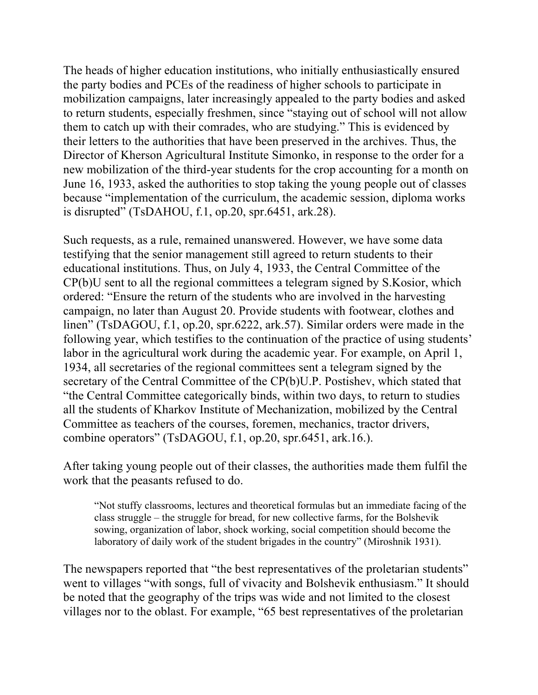The heads of higher education institutions, who initially enthusiastically ensured the party bodies and PCEs of the readiness of higher schools to participate in mobilization campaigns, later increasingly appealed to the party bodies and asked to return students, especially freshmen, since "staying out of school will not allow them to catch up with their comrades, who are studying." This is evidenced by their letters to the authorities that have been preserved in the archives. Thus, the Director of Kherson Agricultural Institute Simonko, in response to the order for a new mobilization of the third-year students for the crop accounting for a month on June 16, 1933, asked the authorities to stop taking the young people out of classes because "implementation of the curriculum, the academic session, diploma works is disrupted" (TsDAHOU, f.1, op.20, spr.6451, ark.28).

Such requests, as a rule, remained unanswered. However, we have some data testifying that the senior management still agreed to return students to their educational institutions. Thus, on July 4, 1933, the Central Committee of the CP(b)U sent to all the regional committees a telegram signed by S.Kosior, which ordered: "Ensure the return of the students who are involved in the harvesting campaign, no later than August 20. Provide students with footwear, clothes and linen" (TsDAGOU, f.1, op.20, spr.6222, ark.57). Similar orders were made in the following year, which testifies to the continuation of the practice of using students' labor in the agricultural work during the academic year. For example, on April 1, 1934, all secretaries of the regional committees sent a telegram signed by the secretary of the Central Committee of the CP(b)U.P. Postishev, which stated that "the Central Committee categorically binds, within two days, to return to studies all the students of Kharkov Institute of Mechanization, mobilized by the Central Committee as teachers of the courses, foremen, mechanics, tractor drivers, combine operators" (TsDAGOU, f.1, op.20, spr.6451, ark.16.).

After taking young people out of their classes, the authorities made them fulfil the work that the peasants refused to do.

"Not stuffy classrooms, lectures and theoretical formulas but an immediate facing of the class struggle – the struggle for bread, for new collective farms, for the Bolshevik sowing, organization of labor, shock working, social competition should become the laboratory of daily work of the student brigades in the country" (Miroshnik 1931).

The newspapers reported that "the best representatives of the proletarian students" went to villages "with songs, full of vivacity and Bolshevik enthusiasm." It should be noted that the geography of the trips was wide and not limited to the closest villages nor to the oblast. For example, "65 best representatives of the proletarian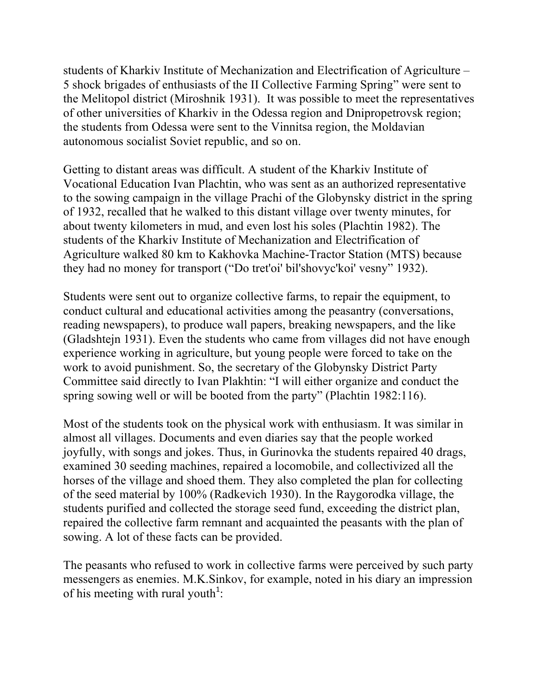students of Kharkiv Institute of Mechanization and Electrification of Agriculture – 5 shock brigades of enthusiasts of the II Collective Farming Spring" were sent to the Melitopol district (Miroshnik 1931). It was possible to meet the representatives of other universities of Kharkiv in the Odessa region and Dnipropetrovsk region; the students from Odessa were sent to the Vinnitsa region, the Moldavian autonomous socialist Soviet republic, and so on.

Getting to distant areas was difficult. A student of the Kharkiv Institute of Vocational Education Ivan Plachtin, who was sent as an authorized representative to the sowing campaign in the village Prachi of the Globynsky district in the spring of 1932, recalled that he walked to this distant village over twenty minutes, for about twenty kilometers in mud, and even lost his soles (Plachtin 1982). The students of the Kharkiv Institute of Mechanization and Electrification of Agriculture walked 80 km to Kakhovka Machine-Tractor Station (MTS) because they had no money for transport ("Do tret'oi' bil'shovyc'koi' vesny" 1932).

Students were sent out to organize collective farms, to repair the equipment, to conduct cultural and educational activities among the peasantry (conversations, reading newspapers), to produce wall papers, breaking newspapers, and the like (Gladshtejn 1931). Even the students who came from villages did not have enough experience working in agriculture, but young people were forced to take on the work to avoid punishment. So, the secretary of the Globynsky District Party Committee said directly to Ivan Plakhtin: "I will either organize and conduct the spring sowing well or will be booted from the party" (Plachtin 1982:116).

Most of the students took on the physical work with enthusiasm. It was similar in almost all villages. Documents and even diaries say that the people worked joyfully, with songs and jokes. Thus, in Gurinovka the students repaired 40 drags, examined 30 seeding machines, repaired a locomobile, and collectivized all the horses of the village and shoed them. They also completed the plan for collecting of the seed material by 100% (Radkevich 1930). In the Raygorodka village, the students purified and collected the storage seed fund, exceeding the district plan, repaired the collective farm remnant and acquainted the peasants with the plan of sowing. A lot of these facts can be provided.

The peasants who refused to work in collective farms were perceived by such party messengers as enemies. M.K.Sinkov, for example, noted in his diary an impression of his meeting with rural youth<sup>1</sup>: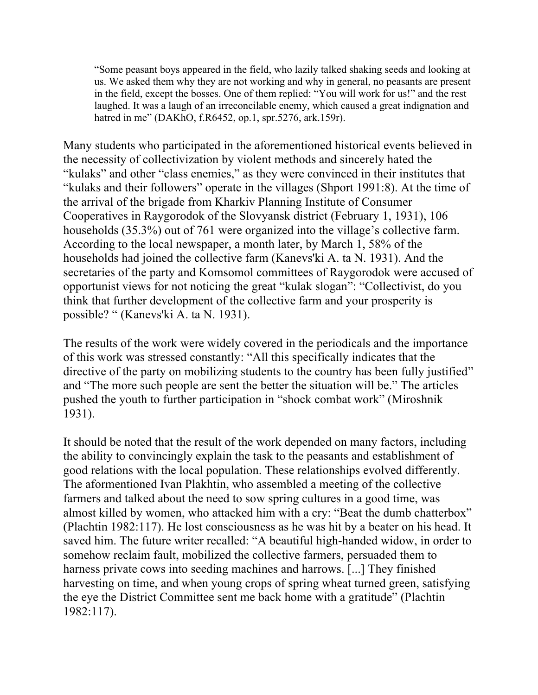"Some peasant boys appeared in the field, who lazily talked shaking seeds and looking at us. We asked them why they are not working and why in general, no peasants are present in the field, except the bosses. One of them replied: "You will work for us!" and the rest laughed. It was a laugh of an irreconcilable enemy, which caused a great indignation and hatred in me" (DAKhO, f.R6452, op.1, spr.5276, ark.159r).

Many students who participated in the aforementioned historical events believed in the necessity of collectivization by violent methods and sincerely hated the "kulaks" and other "class enemies," as they were convinced in their institutes that "kulaks and their followers" operate in the villages (Shport 1991:8). At the time of the arrival of the brigade from Kharkiv Planning Institute of Consumer Cooperatives in Raygorodok of the Slovyansk district (February 1, 1931), 106 households (35.3%) out of 761 were organized into the village's collective farm. According to the local newspaper, a month later, by March 1, 58% of the households had joined the collective farm (Kanevs'ki A. ta N. 1931). And the secretaries of the party and Komsomol committees of Raygorodok were accused of opportunist views for not noticing the great "kulak slogan": "Collectivist, do you think that further development of the collective farm and your prosperity is possible? " (Kanevs'ki A. ta N. 1931).

The results of the work were widely covered in the periodicals and the importance of this work was stressed constantly: "All this specifically indicates that the directive of the party on mobilizing students to the country has been fully justified" and "The more such people are sent the better the situation will be." The articles pushed the youth to further participation in "shock combat work" (Miroshnik 1931).

It should be noted that the result of the work depended on many factors, including the ability to convincingly explain the task to the peasants and establishment of good relations with the local population. These relationships evolved differently. The aformentioned Ivan Plakhtin, who assembled a meeting of the collective farmers and talked about the need to sow spring cultures in a good time, was almost killed by women, who attacked him with a cry: "Beat the dumb chatterbox" (Plachtin 1982:117). He lost consciousness as he was hit by a beater on his head. It saved him. The future writer recalled: "A beautiful high-handed widow, in order to somehow reclaim fault, mobilized the collective farmers, persuaded them to harness private cows into seeding machines and harrows. [...] They finished harvesting on time, and when young crops of spring wheat turned green, satisfying the eye the District Committee sent me back home with a gratitude" (Plachtin 1982:117).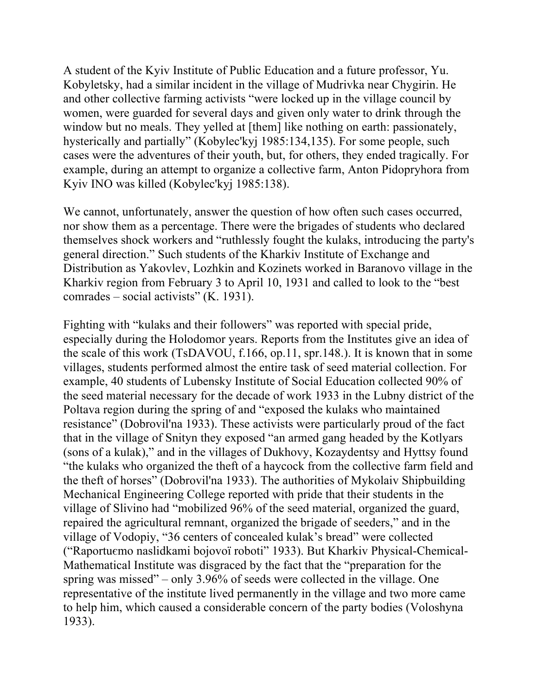A student of the Kyiv Institute of Public Education and a future professor, Yu. Kobyletsky, had a similar incident in the village of Mudrivka near Chygirin. He and other collective farming activists "were locked up in the village council by women, were guarded for several days and given only water to drink through the window but no meals. They yelled at [them] like nothing on earth: passionately, hysterically and partially" (Kobylec'kyj 1985:134,135). For some people, such cases were the adventures of their youth, but, for others, they ended tragically. For example, during an attempt to organize a collective farm, Anton Pidopryhora from Kyiv INO was killed (Kobylec'kyj 1985:138).

We cannot, unfortunately, answer the question of how often such cases occurred, nor show them as a percentage. There were the brigades of students who declared themselves shock workers and "ruthlessly fought the kulaks, introducing the party's general direction." Such students of the Kharkiv Institute of Exchange and Distribution as Yakovlev, Lozhkin and Kozinets worked in Baranovo village in the Kharkiv region from February 3 to April 10, 1931 and called to look to the "best comrades – social activists" (K. 1931).

Fighting with "kulaks and their followers" was reported with special pride, especially during the Holodomor years. Reports from the Institutes give an idea of the scale of this work (TsDAVOU, f.166, op.11, spr.148.). It is known that in some villages, students performed almost the entire task of seed material collection. For example, 40 students of Lubensky Institute of Social Education collected 90% of the seed material necessary for the decade of work 1933 in the Lubny district of the Poltava region during the spring of and "exposed the kulaks who maintained resistance" (Dobrovil'na 1933). These activists were particularly proud of the fact that in the village of Snityn they exposed "an armed gang headed by the Kotlyars (sons of a kulak)," and in the villages of Dukhovy, Kozaydentsy and Hyttsy found "the kulaks who organized the theft of a haycock from the collective farm field and the theft of horses" (Dobrovil'na 1933). The authorities of Mykolaiv Shipbuilding Mechanical Engineering College reported with pride that their students in the village of Slivino had "mobilized 96% of the seed material, organized the guard, repaired the agricultural remnant, organized the brigade of seeders," and in the village of Vodopiy, "36 centers of concealed kulak's bread" were collected ("Raportuєmo naslіdkami bojovoї roboti" 1933). But Kharkiv Physical-Chemical-Mathematical Institute was disgraced by the fact that the "preparation for the spring was missed" – only 3.96% of seeds were collected in the village. One representative of the institute lived permanently in the village and two more came to help him, which caused a considerable concern of the party bodies (Voloshyna 1933).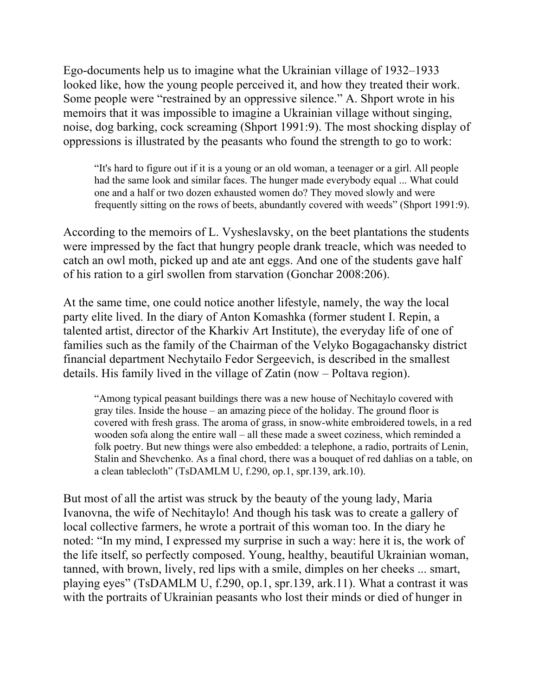Ego-documents help us to imagine what the Ukrainian village of 1932–1933 looked like, how the young people perceived it, and how they treated their work. Some people were "restrained by an oppressive silence." A. Shport wrote in his memoirs that it was impossible to imagine a Ukrainian village without singing, noise, dog barking, cock screaming (Shport 1991:9). The most shocking display of oppressions is illustrated by the peasants who found the strength to go to work:

"It's hard to figure out if it is a young or an old woman, a teenager or a girl. All people had the same look and similar faces. The hunger made everybody equal ... What could one and a half or two dozen exhausted women do? They moved slowly and were frequently sitting on the rows of beets, abundantly covered with weeds" (Shport 1991:9).

According to the memoirs of L. Vysheslavsky, on the beet plantations the students were impressed by the fact that hungry people drank treacle, which was needed to catch an owl moth, picked up and ate ant eggs. And one of the students gave half of his ration to a girl swollen from starvation (Gonchar 2008:206).

At the same time, one could notice another lifestyle, namely, the way the local party elite lived. In the diary of Anton Komashka (former student I. Repin, a talented artist, director of the Kharkiv Art Institute), the everyday life of one of families such as the family of the Chairman of the Velyko Bogagachansky district financial department Nechytailo Fedor Sergeevich, is described in the smallest details. His family lived in the village of Zatin (now – Poltava region).

"Among typical peasant buildings there was a new house of Nechitaylo covered with gray tiles. Inside the house – an amazing piece of the holiday. The ground floor is covered with fresh grass. The aroma of grass, in snow-white embroidered towels, in a red wooden sofa along the entire wall – all these made a sweet coziness, which reminded a folk poetry. But new things were also embedded: a telephone, a radio, portraits of Lenin, Stalin and Shevchenko. As a final chord, there was a bouquet of red dahlias on a table, on a clean tablecloth" (TsDAMLM U, f.290, op.1, spr.139, ark.10).

But most of all the artist was struck by the beauty of the young lady, Maria Ivanovna, the wife of Nechitaylo! And though his task was to create a gallery of local collective farmers, he wrote a portrait of this woman too. In the diary he noted: "In my mind, I expressed my surprise in such a way: here it is, the work of the life itself, so perfectly composed. Young, healthy, beautiful Ukrainian woman, tanned, with brown, lively, red lips with a smile, dimples on her cheeks ... smart, playing eyes" (TsDAMLM U, f.290, op.1, spr.139, ark.11). What a contrast it was with the portraits of Ukrainian peasants who lost their minds or died of hunger in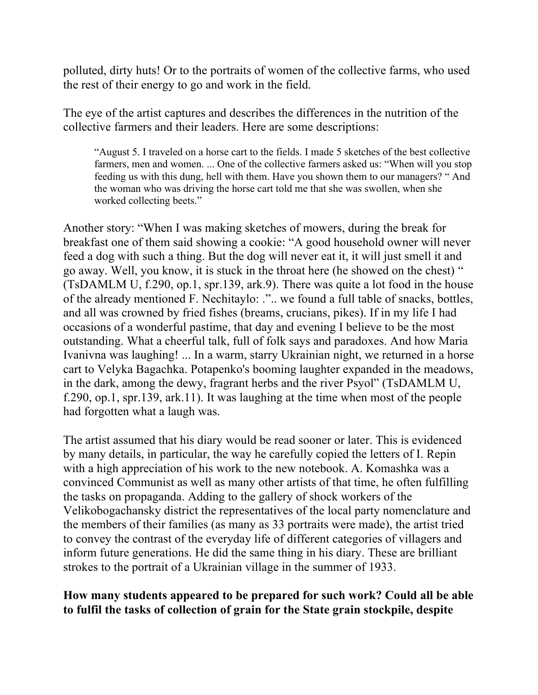polluted, dirty huts! Or to the portraits of women of the collective farms, who used the rest of their energy to go and work in the field.

The eye of the artist captures and describes the differences in the nutrition of the collective farmers and their leaders. Here are some descriptions:

"August 5. I traveled on a horse cart to the fields. I made 5 sketches of the best collective farmers, men and women. ... One of the collective farmers asked us: "When will you stop feeding us with this dung, hell with them. Have you shown them to our managers? " And the woman who was driving the horse cart told me that she was swollen, when she worked collecting beets."

Another story: "When I was making sketches of mowers, during the break for breakfast one of them said showing a cookie: "A good household owner will never feed a dog with such a thing. But the dog will never eat it, it will just smell it and go away. Well, you know, it is stuck in the throat here (he showed on the chest) " (TsDAMLM U, f.290, op.1, spr.139, ark.9). There was quite a lot food in the house of the already mentioned F. Nechitaylo: .".. we found a full table of snacks, bottles, and all was crowned by fried fishes (breams, crucians, pikes). If in my life I had occasions of a wonderful pastime, that day and evening I believe to be the most outstanding. What a cheerful talk, full of folk says and paradoxes. And how Maria Ivanivna was laughing! ... In a warm, starry Ukrainian night, we returned in a horse cart to Velyka Bagachka. Potapenko's booming laughter expanded in the meadows, in the dark, among the dewy, fragrant herbs and the river Psyol" (TsDAMLM U, f.290, op.1, spr.139, ark.11). It was laughing at the time when most of the people had forgotten what a laugh was.

The artist assumed that his diary would be read sooner or later. This is evidenced by many details, in particular, the way he carefully copied the letters of I. Repin with a high appreciation of his work to the new notebook. A. Komashka was a convinced Communist as well as many other artists of that time, he often fulfilling the tasks on propaganda. Adding to the gallery of shock workers of the Velikobogachansky district the representatives of the local party nomenclature and the members of their families (as many as 33 portraits were made), the artist tried to convey the contrast of the everyday life of different categories of villagers and inform future generations. He did the same thing in his diary. These are brilliant strokes to the portrait of a Ukrainian village in the summer of 1933.

## **How many students appeared to be prepared for such work? Could all be able to fulfil the tasks of collection of grain for the State grain stockpile, despite**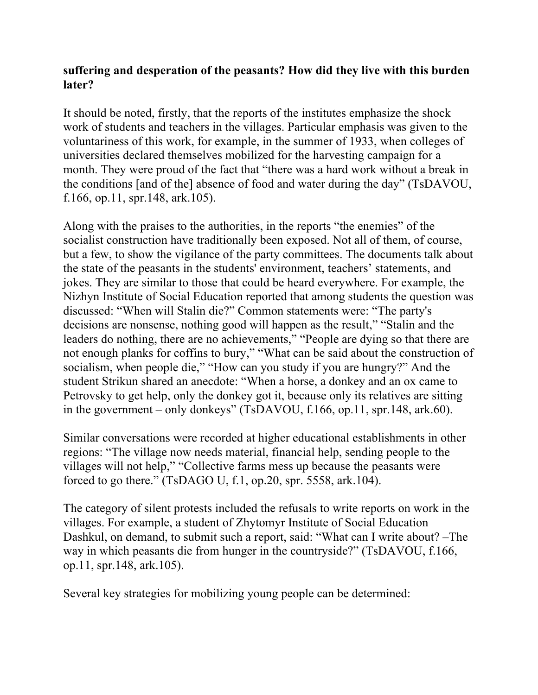# **suffering and desperation of the peasants? How did they live with this burden later?**

It should be noted, firstly, that the reports of the institutes emphasize the shock work of students and teachers in the villages. Particular emphasis was given to the voluntariness of this work, for example, in the summer of 1933, when colleges of universities declared themselves mobilized for the harvesting campaign for a month. They were proud of the fact that "there was a hard work without a break in the conditions [and of the] absence of food and water during the day" (TsDAVOU, f.166, op.11, spr.148, аrk.105).

Along with the praises to the authorities, in the reports "the enemies" of the socialist construction have traditionally been exposed. Not all of them, of course, but a few, to show the vigilance of the party committees. The documents talk about the state of the peasants in the students' environment, teachers' statements, and jokes. They are similar to those that could be heard everywhere. For example, the Nizhyn Institute of Social Education reported that among students the question was discussed: "When will Stalin die?" Common statements were: "The party's decisions are nonsense, nothing good will happen as the result," "Stalin and the leaders do nothing, there are no achievements," "People are dying so that there are not enough planks for coffins to bury," "What can be said about the construction of socialism, when people die," "How can you study if you are hungry?" And the student Strikun shared an anecdote: "When a horse, a donkey and an ox came to Petrovsky to get help, only the donkey got it, because only its relatives are sitting in the government – only donkeys" (TsDAVOU,  $f.166$ , op.11, spr.148, ark.60).

Similar conversations were recorded at higher educational establishments in other regions: "The village now needs material, financial help, sending people to the villages will not help," "Collective farms mess up because the peasants were forced to go there." (TsDAGO U, f.1, оp.20, spr. 5558, аrk.104).

The category of silent protests included the refusals to write reports on work in the villages. For example, a student of Zhytomyr Institute of Social Education Dashkul, on demand, to submit such a report, said: "What can I write about? –The way in which peasants die from hunger in the countryside?" (TsDAVOU, f.166, op.11, spr.148, аrk.105).

Several key strategies for mobilizing young people can be determined: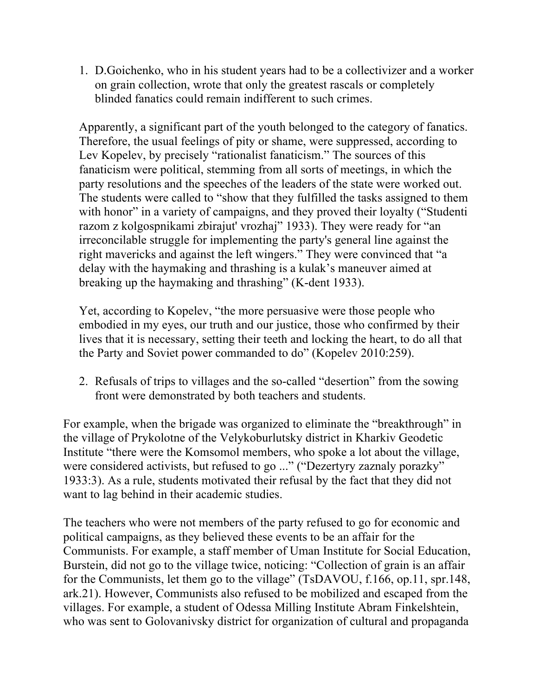1. D.Goichenko, who in his student years had to be a collectivizer and a worker on grain collection, wrote that only the greatest rascals or completely blinded fanatics could remain indifferent to such crimes.

Apparently, a significant part of the youth belonged to the category of fanatics. Therefore, the usual feelings of pity or shame, were suppressed, according to Lev Kopelev, by precisely "rationalist fanaticism." The sources of this fanaticism were political, stemming from all sorts of meetings, in which the party resolutions and the speeches of the leaders of the state were worked out. The students were called to "show that they fulfilled the tasks assigned to them with honor" in a variety of campaigns, and they proved their loyalty ("Studenti razom z kolgospnikami zbirajut' vrozhaj" 1933). They were ready for "an irreconcilable struggle for implementing the party's general line against the right mavericks and against the left wingers." They were convinced that "a delay with the haymaking and thrashing is a kulak's maneuver aimed at breaking up the haymaking and thrashing" (K-dent 1933).

Yet, according to Kopelev, "the more persuasive were those people who embodied in my eyes, our truth and our justice, those who confirmed by their lives that it is necessary, setting their teeth and locking the heart, to do all that the Party and Soviet power commanded to do" (Kopelev 2010:259).

2. Refusals of trips to villages and the so-called "desertion" from the sowing front were demonstrated by both teachers and students.

For example, when the brigade was organized to eliminate the "breakthrough" in the village of Prykolotne of the Velykoburlutsky district in Kharkiv Geodetic Institute "there were the Komsomol members, who spoke a lot about the village, were considered activists, but refused to go ..." ("Dezertyry zaznaly porazky" 1933:3). As a rule, students motivated their refusal by the fact that they did not want to lag behind in their academic studies.

The teachers who were not members of the party refused to go for economic and political campaigns, as they believed these events to be an affair for the Communists. For example, a staff member of Uman Institute for Social Education, Burstein, did not go to the village twice, noticing: "Collection of grain is an affair for the Communists, let them go to the village" (TsDAVOU, f.166, op.11, spr.148, аrk.21). However, Communists also refused to be mobilized and escaped from the villages. For example, a student of Odessa Milling Institute Abram Finkelshtein, who was sent to Golovanivsky district for organization of cultural and propaganda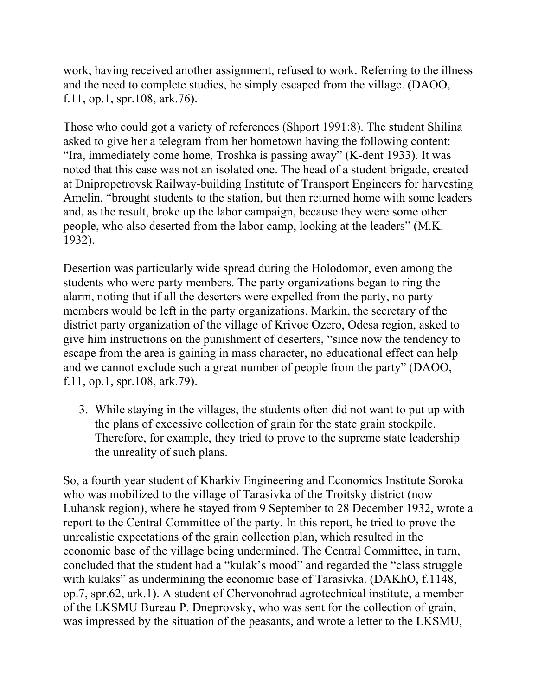work, having received another assignment, refused to work. Referring to the illness and the need to complete studies, he simply escaped from the village. (DAOО, f.11, оp.1, spr.108, аrk.76).

Those who could got a variety of references (Shport 1991:8). The student Shilina asked to give her a telegram from her hometown having the following content: "Ira, immediately come home, Troshka is passing away" (K-dent 1933). It was noted that this case was not an isolated one. The head of a student brigade, created at Dnipropetrovsk Railway-building Institute of Transport Engineers for harvesting Amelin, "brought students to the station, but then returned home with some leaders and, as the result, broke up the labor campaign, because they were some other people, who also deserted from the labor camp, looking at the leaders" (M.K. 1932).

Desertion was particularly wide spread during the Holodomor, even among the students who were party members. The party organizations began to ring the alarm, noting that if all the deserters were expelled from the party, no party members would be left in the party organizations. Markin, the secretary of the district party organization of the village of Krivoe Ozero, Odesa region, asked to give him instructions on the punishment of deserters, "since now the tendency to escape from the area is gaining in mass character, no educational effect can help and we cannot exclude such a great number of people from the party" (DAOО, f.11, оp.1, spr.108, аrk.79).

3. While staying in the villages, the students often did not want to put up with the plans of excessive collection of grain for the state grain stockpile. Therefore, for example, they tried to prove to the supreme state leadership the unreality of such plans.

So, a fourth year student of Kharkіv Engineering and Economics Institute Soroka who was mobilized to the village of Tarasivka of the Troitsky district (now Luhansk region), where he stayed from 9 September to 28 December 1932, wrote a report to the Central Committee of the party. In this report, he tried to prove the unrealistic expectations of the grain collection plan, which resulted in the economic base of the village being undermined. The Central Committee, in turn, concluded that the student had a "kulak's mood" and regarded the "class struggle with kulaks" as undermining the economic base of Tarasivka. (DAKhO, f.1148, op.7, spr.62, ark.1). A student of Chervonohrad agrotechnical institute, a member of the LKSMU Bureau P. Dneprovsky, who was sent for the collection of grain, was impressed by the situation of the peasants, and wrote a letter to the LKSMU,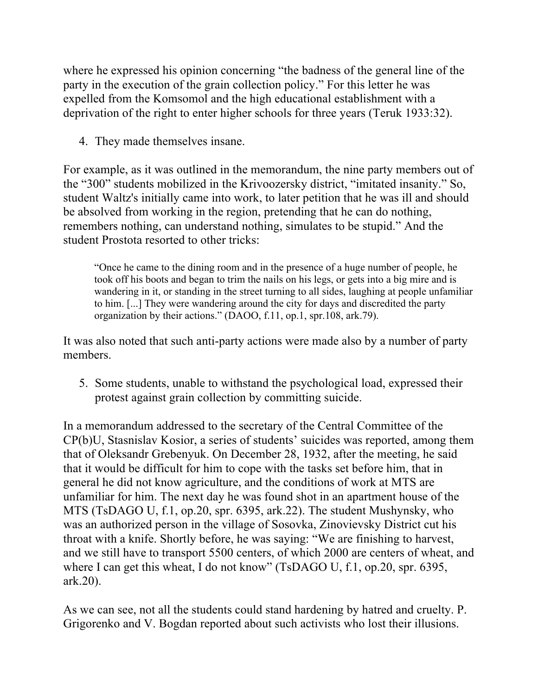where he expressed his opinion concerning "the badness of the general line of the party in the execution of the grain collection policy." For this letter he was expelled from the Komsomol and the high educational establishment with a deprivation of the right to enter higher schools for three years (Teruk 1933:32).

4. They made themselves insane.

For example, as it was outlined in the memorandum, the nine party members out of the "300" students mobilized in the Krivoozersky district, "imitated insanity." So, student Waltz's initially came into work, to later petition that he was ill and should be absolved from working in the region, pretending that he can do nothing, remembers nothing, can understand nothing, simulates to be stupid." And the student Prostota resorted to other tricks:

"Once he came to the dining room and in the presence of a huge number of people, he took off his boots and began to trim the nails on his legs, or gets into a big mire and is wandering in it, or standing in the street turning to all sides, laughing at people unfamiliar to him. [...] They were wandering around the city for days and discredited the party organization by their actions." (DAOО, f.11, оp.1, spr.108, аrk.79).

It was also noted that such anti-party actions were made also by a number of party members.

5. Some students, unable to withstand the psychological load, expressed their protest against grain collection by committing suicide.

In a memorandum addressed to the secretary of the Central Committee of the CP(b)U, Stasnislav Kosior, a series of students' suicides was reported, among them that of Oleksandr Grebenyuk. On December 28, 1932, after the meeting, he said that it would be difficult for him to cope with the tasks set before him, that in general he did not know agriculture, and the conditions of work at MTS are unfamiliar for him. The next day he was found shot in an apartment house of the MTS (TsDAGO U, f.1, op.20, spr. 6395, ark.22). The student Mushynsky, who was an authorized person in the village of Sosovka, Zinovievsky District cut his throat with a knife. Shortly before, he was saying: "We are finishing to harvest, and we still have to transport 5500 centers, of which 2000 are centers of wheat, and where I can get this wheat, I do not know" (TsDAGO U, f.1, op.20, spr. 6395, аrk.20).

As we can see, not all the students could stand hardening by hatred and cruelty. P. Grigorenko and V. Bogdan reported about such activists who lost their illusions.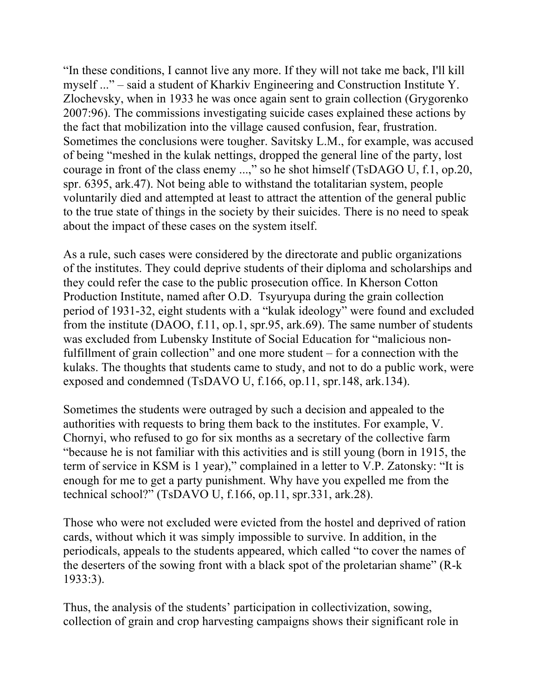"In these conditions, I cannot live any more. If they will not take me back, I'll kill myself ..." – said a student of Kharkіv Engineering and Construction Institute Y. Zlochevsky, when in 1933 he was once again sent to grain collection (Grygorenko 2007:96). The commissions investigating suicide cases explained these actions by the fact that mobilization into the village caused confusion, fear, frustration. Sometimes the conclusions were tougher. Savitsky L.M., for example, was accused of being "meshed in the kulak nettings, dropped the general line of the party, lost courage in front of the class enemy ...," so he shot himself (TsDAGO U, f.1, оp.20, spr. 6395, аrk.47). Not being able to withstand the totalitarian system, people voluntarily died and attempted at least to attract the attention of the general public to the true state of things in the society by their suicides. There is no need to speak about the impact of these cases on the system itself.

As a rule, such cases were considered by the directorate and public organizations of the institutes. They could deprive students of their diploma and scholarships and they could refer the case to the public prosecution office. In Kherson Cotton Production Institute, named after O.D. Tsyuryupa during the grain collection period of 1931-32, eight students with a "kulak ideology" were found and excluded from the institute (DAOO, f.11, op.1, spr.95, ark.69). The same number of students was excluded from Lubensky Institute of Social Education for "malicious nonfulfillment of grain collection" and one more student – for a connection with the kulaks. The thoughts that students came to study, and not to do a public work, were exposed and condemned (TsDAVO U, f.166, op.11, spr.148, аrk.134).

Sometimes the students were outraged by such a decision and appealed to the authorities with requests to bring them back to the institutes. For example, V. Chornyi, who refused to go for six months as a secretary of the collective farm "because he is not familiar with this activities and is still young (born in 1915, the term of service in KSM is 1 year)," complained in a letter to V.P. Zatonsky: "It is enough for me to get a party punishment. Why have you expelled me from the technical school?" (TsDAVO U, f.166, op.11, spr.331, аrk.28).

Those who were not excluded were evicted from the hostel and deprived of ration cards, without which it was simply impossible to survive. In addition, in the periodicals, appeals to the students appeared, which called "to cover the names of the deserters of the sowing front with a black spot of the proletarian shame" (R-k 1933:3).

Thus, the analysis of the students' participation in collectivization, sowing, collection of grain and crop harvesting campaigns shows their significant role in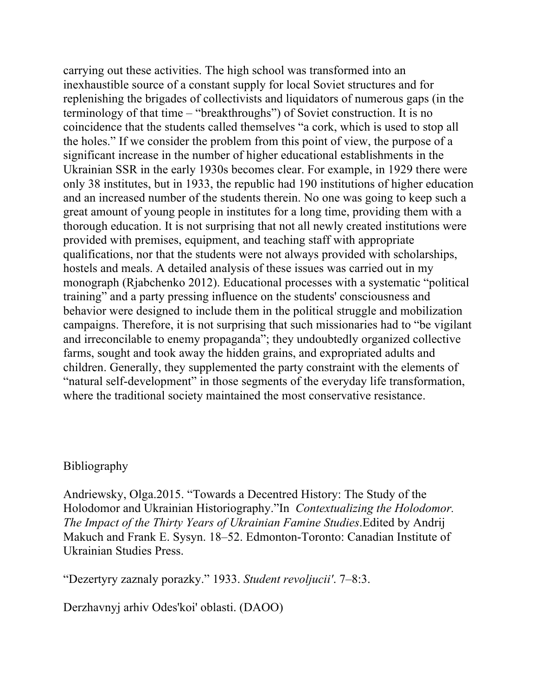carrying out these activities. The high school was transformed into an inexhaustible source of a constant supply for local Soviet structures and for replenishing the brigades of collectivists and liquidators of numerous gaps (in the terminology of that time – "breakthroughs") of Soviet construction. It is no coincidence that the students called themselves "a cork, which is used to stop all the holes." If we consider the problem from this point of view, the purpose of a significant increase in the number of higher educational establishments in the Ukrainian SSR in the early 1930s becomes clear. For example, in 1929 there were only 38 institutes, but in 1933, the republic had 190 institutions of higher education and an increased number of the students therein. No one was going to keep such a great amount of young people in institutes for a long time, providing them with a thorough education. It is not surprising that not all newly created institutions were provided with premises, equipment, and teaching staff with appropriate qualifications, nor that the students were not always provided with scholarships, hostels and meals. A detailed analysis of these issues was carried out in my monograph (Rjabchenko 2012). Educational processes with a systematic "political training" and a party pressing influence on the students' consciousness and behavior were designed to include them in the political struggle and mobilization campaigns. Therefore, it is not surprising that such missionaries had to "be vigilant and irreconcilable to enemy propaganda"; they undoubtedly organized collective farms, sought and took away the hidden grains, and expropriated adults and children. Generally, they supplemented the party constraint with the elements of "natural self-development" in those segments of the everyday life transformation, where the traditional society maintained the most conservative resistance.

### Bibliography

Andriewsky, Olga.2015. "Towards a Decentred History: The Study of the Holodomor and Ukrainian Historiography."In *Contextualizing the Holodomor. The Impact of the Thirty Years of Ukrainian Famine Studies*.Edited by Andrij Makuch and Frank E. Sysyn. 18–52. Edmonton-Toronto: Canadian Institute of Ukrainian Studies Press.

"Dezertyry zaznaly porazky." 1933. *Student revoljucii'*. 7–8:3.

Derzhavnyj arhiv Odes'koi' oblasti. (DAOO)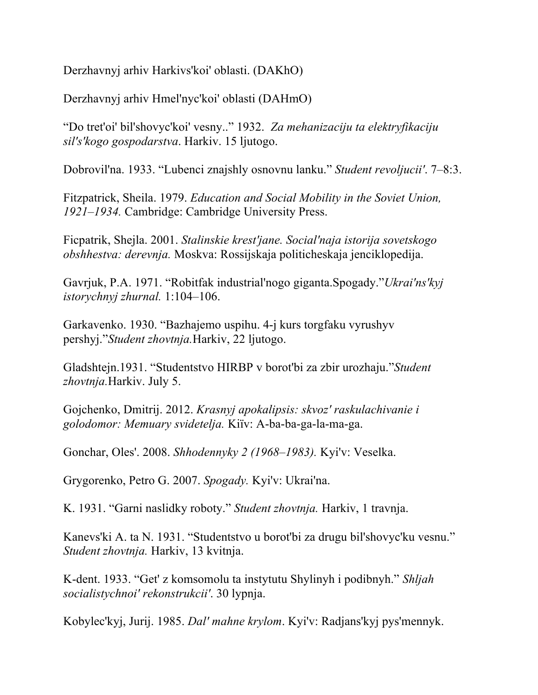Derzhavnyj arhiv Harkivs'koi' oblasti. (DAKhO)

Derzhavnyj arhiv Hmel'nyc'koi' oblasti (DAHmO)

"Do tret'oi' bil'shovyc'koi' vesny.." 1932. *Za mehanizaciju ta elektryfikaciju sil's'kogo gospodarstva*. Harkiv. 15 ljutogo.

Dobrovil'na. 1933. "Lubenci znajshly osnovnu lanku." *Student revoljucii'*. 7–8:3.

Fitzpatrick, Sheila. 1979. *Education and Social Mobility in the Soviet Union, 1921–1934.* Cambridge: Cambridge University Press.

Ficpatrik, Shejla. 2001. *Stalinskie krest'jane. Social'naja istorija sovetskogo obshhestva: derevnja.* Moskva: Rossijskaja politicheskaja jenciklopedija.

Gavrjuk, P.A. 1971. "Robitfak industrial'nogo giganta.Spogady."*Ukrai'ns'kyj istorychnyj zhurnal.* 1:104–106.

Garkavenko. 1930. "Bazhajemo uspihu. 4-j kurs torgfaku vyrushyv pershyj."*Student zhovtnja.*Harkiv, 22 ljutogo.

Gladshtejn.1931. "Studentstvo HIRBP v borot'bi za zbir urozhaju."*Student zhovtnja.*Harkiv. July 5.

Gojchenko, Dmitrij. 2012. *Krasnyj apokalipsis: skvoz' raskulachivanie i golodomor: Memuary svidetelja.* Kiїv: A-ba-ba-ga-la-ma-ga.

Gonchar, Oles'. 2008. *Shhodennyky 2 (1968–1983).* Kyi'v: Veselka.

Grygorenko, Petro G. 2007. *Spogady.* Kyi'v: Ukrai'na.

K. 1931. "Garni naslidky roboty." *Student zhovtnja.* Harkiv, 1 travnja.

Kanevs'ki A. ta N. 1931. "Studentstvo u borot'bi za drugu bil'shovyc'ku vesnu." *Student zhovtnja.* Harkiv, 13 kvitnja.

K-dent. 1933. "Get' z komsomolu ta instytutu Shylinyh i podibnyh." *Shljah socialistychnoi' rekonstrukcii'*. 30 lypnja.

Kobylec'kyj, Jurij. 1985. *Dal' mahne krylom*. Kyi'v: Radjans'kyj pys'mennyk.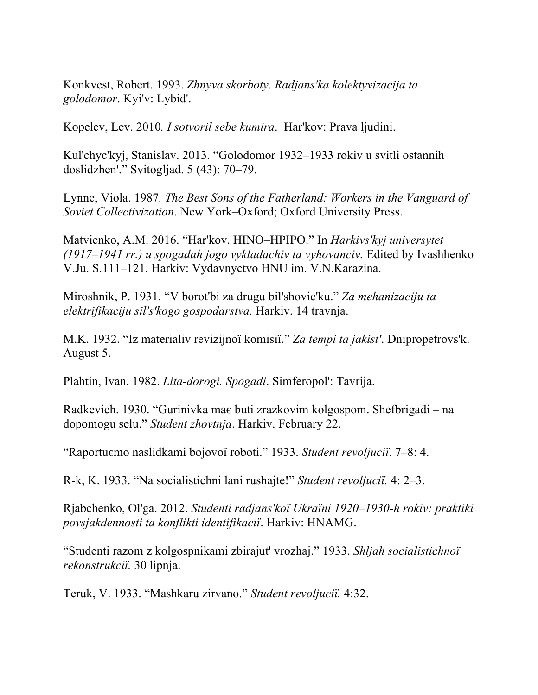Konkvest, Robert. 1993. *Zhnyva skorboty. Radjans'ka kolektyvizacija ta golodomor*. Kyi'v: Lybid'.

Kopelev, Lev. 2010*. I sotvoril sebe kumira*. Har'kov: Prava ljudini.

Kul'chyc'kyj, Stanislav. 2013. "Golodomor 1932–1933 rokiv u svitli ostannih doslidzhen'." Svitogljad. 5 (43): 70–79.

Lynne, Viola. 1987*. The Best Sons of the Fatherland: Workers in the Vanguard of Soviet Collectivization*. New York–Oxford; Oxford University Press.

Matvienko, A.M. 2016. "Har'kov. HINO–HPIPO." In *Harkivs'kyj universytet (1917–1941 rr.) u spogadah jogo vykladachiv ta vyhovanciv.* Edited by Ivashhenko V.Ju. S.111–121. Harkiv: Vydavnyctvo HNU im. V.N.Karazina.

Miroshnik, P. 1931. "V borot'bі za drugu bіl'shovic'ku." *Za mehanіzacіju ta elektrifіkacіju sіl's'kogo gospodarstva.* Harkіv. 14 travnja.

M.K. 1932. "Іz materіalіv revіzіjnoї komіsії." *Za tempi ta jakіst'*. Dnіpropetrovs'k. August 5.

Plahtіn, Іvan. 1982. *Lіta-dorogi. Spogadi*. Sіmferopol': Tavrіja.

Radkevich. 1930. "Gurinіvka maє buti zrazkovim kolgospom. Shefbrigadi – na dopomogu selu." *Student zhovtnja*. Harkіv. February 22.

"Raportuєmo naslіdkami bojovoї roboti." 1933. *Student revoljucії*. 7–8: 4.

R-k, K. 1933. "Na socіalіstichnі lani rushajte!" *Student revoljucії.* 4: 2–3.

Rjabchenko, Ol'ga. 2012. *Studenti radjans'koї Ukraїni 1920–1930-h rokіv: praktiki povsjakdennostі ta konflіkti іdentifіkacії*. Harkіv: HNAMG.

"Studenti razom z kolgospnikami zbirajut' vrozhaj." 1933. *Shljah socіalіstichnoї rekonstrukcії.* 30 lipnja.

Teruk, V. 1933. "Mashkaru zіrvano." *Student revoljucії.* 4:32.